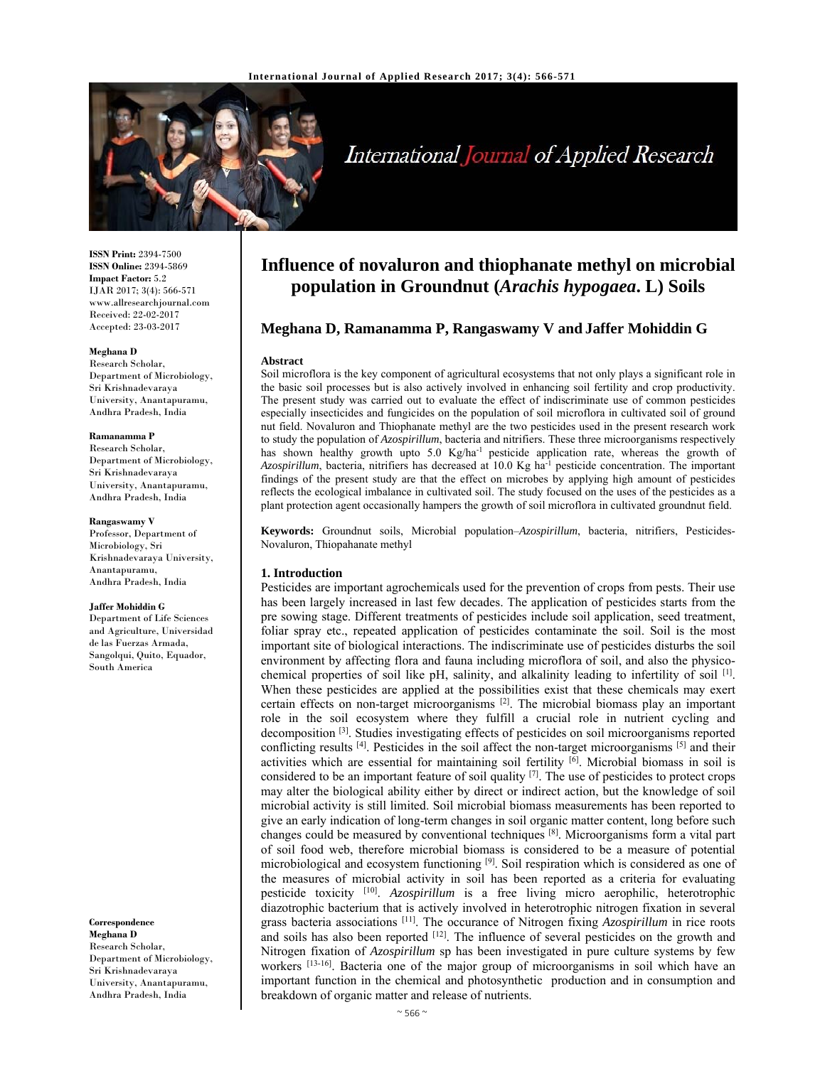

# International Journal of Applied Research

**ISSN Print:** 2394-7500 **ISSN Online:** 2394-5869 **Impact Factor:** 5.2 IJAR 2017; 3(4): 566-571 www.allresearchjournal.com Received: 22-02-2017 Accepted: 23-03-2017

#### **Meghana D**

Research Scholar, Department of Microbiology, Sri Krishnadevaraya University, Anantapuramu, Andhra Pradesh, India

#### **Ramanamma P**

Research Scholar, Department of Microbiology, Sri Krishnadevaraya University, Anantapuramu, Andhra Pradesh, India

#### **Rangaswamy V**

Professor, Department of Microbiology, Sri Krishnadevaraya University, Anantapuramu, Andhra Pradesh, India

#### **Jaffer Mohiddin G**

Department of Life Sciences and Agriculture, Universidad de las Fuerzas Armada, Sangolqui, Quito, Equador, South America

**Correspondence Meghana D**  Research Scholar, Department of Microbiology, Sri Krishnadevaraya University, Anantapuramu, Andhra Pradesh, India

# **Influence of novaluron and thiophanate methyl on microbial population in Groundnut (***Arachis hypogaea***. L) Soils**

# **Meghana D, Ramanamma P, Rangaswamy V and Jaffer Mohiddin G**

#### **Abstract**

Soil microflora is the key component of agricultural ecosystems that not only plays a significant role in the basic soil processes but is also actively involved in enhancing soil fertility and crop productivity. The present study was carried out to evaluate the effect of indiscriminate use of common pesticides especially insecticides and fungicides on the population of soil microflora in cultivated soil of ground nut field. Novaluron and Thiophanate methyl are the two pesticides used in the present research work to study the population of *Azospirillum*, bacteria and nitrifiers. These three microorganisms respectively has shown healthy growth upto 5.0 Kg/ha<sup>-1</sup> pesticide application rate, whereas the growth of *Azospirillum*, bacteria, nitrifiers has decreased at 10.0 Kg ha-1 pesticide concentration. The important findings of the present study are that the effect on microbes by applying high amount of pesticides reflects the ecological imbalance in cultivated soil. The study focused on the uses of the pesticides as a plant protection agent occasionally hampers the growth of soil microflora in cultivated groundnut field.

**Keywords:** Groundnut soils, Microbial population–*Azospirillum*, bacteria, nitrifiers, Pesticides-Novaluron, Thiopahanate methyl

#### **1. Introduction**

Pesticides are important agrochemicals used for the prevention of crops from pests. Their use has been largely increased in last few decades. The application of pesticides starts from the pre sowing stage. Different treatments of pesticides include soil application, seed treatment, foliar spray etc., repeated application of pesticides contaminate the soil. Soil is the most important site of biological interactions. The indiscriminate use of pesticides disturbs the soil environment by affecting flora and fauna including microflora of soil, and also the physicochemical properties of soil like pH, salinity, and alkalinity leading to infertility of soil [1]. When these pesticides are applied at the possibilities exist that these chemicals may exert certain effects on non-target microorganisms [2]. The microbial biomass play an important role in the soil ecosystem where they fulfill a crucial role in nutrient cycling and decomposition [3]. Studies investigating effects of pesticides on soil microorganisms reported conflicting results <sup>[4]</sup>. Pesticides in the soil affect the non-target microorganisms <sup>[5]</sup> and their activities which are essential for maintaining soil fertility  $\left[\overline{6}\right]$ . Microbial biomass in soil is considered to be an important feature of soil quality <sup>[7]</sup>. The use of pesticides to protect crops may alter the biological ability either by direct or indirect action, but the knowledge of soil microbial activity is still limited. Soil microbial biomass measurements has been reported to give an early indication of long-term changes in soil organic matter content, long before such changes could be measured by conventional techniques [8]. Microorganisms form a vital part of soil food web, therefore microbial biomass is considered to be a measure of potential microbiological and ecosystem functioning <sup>[9]</sup>. Soil respiration which is considered as one of the measures of microbial activity in soil has been reported as a criteria for evaluating pesticide toxicity [10]. *Azospirillum* is a free living micro aerophilic, heterotrophic diazotrophic bacterium that is actively involved in heterotrophic nitrogen fixation in several grass bacteria associations [11]. The occurance of Nitrogen fixing *Azospirillum* in rice roots and soils has also been reported [12]. The influence of several pesticides on the growth and Nitrogen fixation of *Azospirillum* sp has been investigated in pure culture systems by few workers <sup>[13-16]</sup>. Bacteria one of the major group of microorganisms in soil which have an important function in the chemical and photosynthetic production and in consumption and breakdown of organic matter and release of nutrients.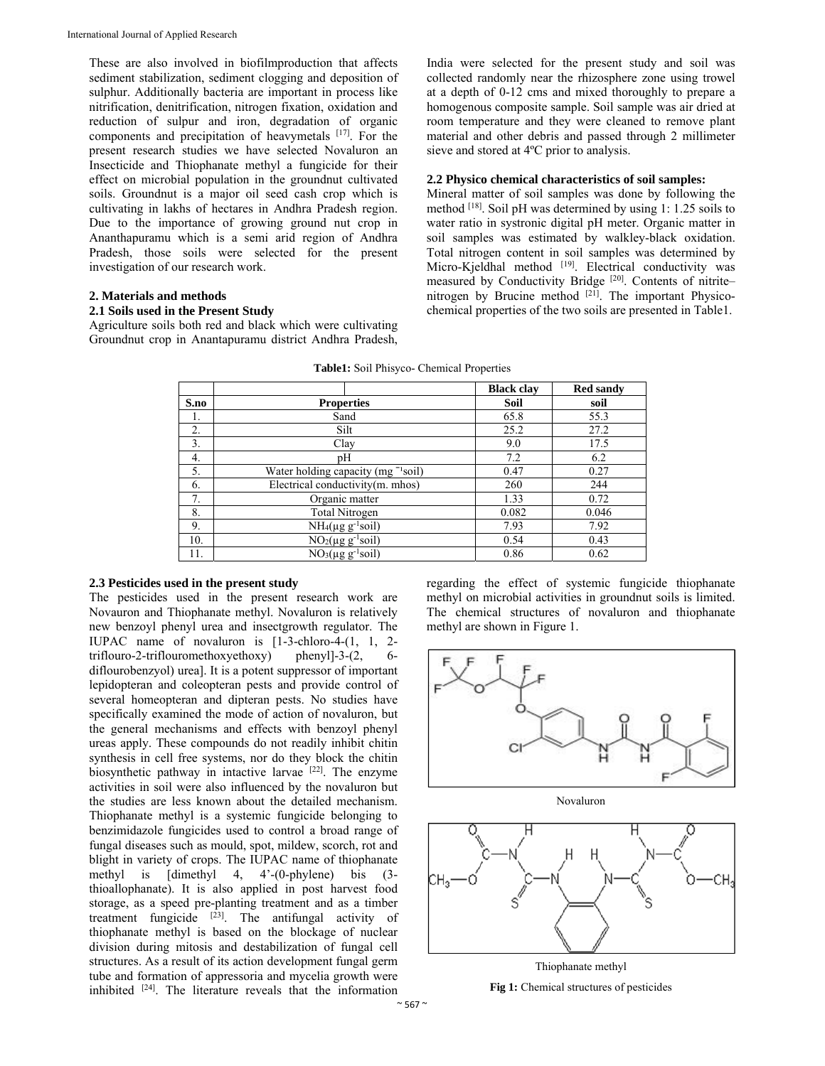These are also involved in biofilmproduction that affects sediment stabilization, sediment clogging and deposition of sulphur. Additionally bacteria are important in process like nitrification, denitrification, nitrogen fixation, oxidation and reduction of sulpur and iron, degradation of organic components and precipitation of heavymetals [17]. For the present research studies we have selected Novaluron an Insecticide and Thiophanate methyl a fungicide for their effect on microbial population in the groundnut cultivated soils. Groundnut is a major oil seed cash crop which is cultivating in lakhs of hectares in Andhra Pradesh region. Due to the importance of growing ground nut crop in Ananthapuramu which is a semi arid region of Andhra Pradesh, those soils were selected for the present investigation of our research work.

# **2. Materials and methods**

# **2.1 Soils used in the Present Study**

Agriculture soils both red and black which were cultivating Groundnut crop in Anantapuramu district Andhra Pradesh,

India were selected for the present study and soil was collected randomly near the rhizosphere zone using trowel at a depth of 0-12 cms and mixed thoroughly to prepare a homogenous composite sample. Soil sample was air dried at room temperature and they were cleaned to remove plant material and other debris and passed through 2 millimeter sieve and stored at 4ºC prior to analysis.

## **2.2 Physico chemical characteristics of soil samples:**

Mineral matter of soil samples was done by following the method <sup>[18]</sup>. Soil pH was determined by using 1: 1.25 soils to water ratio in systronic digital pH meter. Organic matter in soil samples was estimated by walkley-black oxidation. Total nitrogen content in soil samples was determined by Micro-Kjeldhal method <sup>[19]</sup>. Electrical conductivity was measured by Conductivity Bridge [20]. Contents of nitritenitrogen by Brucine method  $[21]$ . The important Physicochemical properties of the two soils are presented in Table1.

|      |                                                | <b>Black clay</b> | <b>Red sandy</b> |
|------|------------------------------------------------|-------------------|------------------|
| S.no | <b>Properties</b>                              | Soil              | soil             |
| ı.   | Sand                                           | 65.8              | 55.3             |
| 2.   | Silt                                           | 25.2              | 27.2             |
| 3.   | Clay                                           | 9.0               | 17.5             |
| 4.   | pH                                             | 7.2               | 6.2              |
| 5.   | Water holding capacity (mg <sup>-1</sup> soil) | 0.47              | 0.27             |
| 6.   | Electrical conductivity(m. mhos)               | 260               | 244              |
| 7.   | Organic matter                                 | 1.33              | 0.72             |
| 8.   | <b>Total Nitrogen</b>                          | 0.082             | 0.046            |
| 9.   | $NH_4(\mu g g^{-1}soil)$                       | 7.93              | 7.92             |
| 10.  | $\overline{NO_2(\mu g} g^{-1} \text{soil})$    | 0.54              | 0.43             |
| 11.  | $NO3(\mu g g-1soil)$                           | 0.86              | 0.62             |

**Table1:** Soil Phisyco- Chemical Properties

## **2.3 Pesticides used in the present study**

The pesticides used in the present research work are Novauron and Thiophanate methyl. Novaluron is relatively new benzoyl phenyl urea and insectgrowth regulator. The IUPAC name of novaluron is [1-3-chloro-4-(1, 1, 2 triflouro-2-triflouromethoxyethoxy) phenyl]-3-(2, diflourobenzyol) urea]. It is a potent suppressor of important lepidopteran and coleopteran pests and provide control of several homeopteran and dipteran pests. No studies have specifically examined the mode of action of novaluron, but the general mechanisms and effects with benzoyl phenyl ureas apply. These compounds do not readily inhibit chitin synthesis in cell free systems, nor do they block the chitin biosynthetic pathway in intactive larvae [22]. The enzyme activities in soil were also influenced by the novaluron but the studies are less known about the detailed mechanism. Thiophanate methyl is a systemic fungicide belonging to benzimidazole fungicides used to control a broad range of fungal diseases such as mould, spot, mildew, scorch, rot and blight in variety of crops. The IUPAC name of thiophanate methyl is [dimethyl 4, 4'-(0-phylene) bis (3 thioallophanate). It is also applied in post harvest food storage, as a speed pre-planting treatment and as a timber treatment fungicide  $[23]$ . The antifungal activity of thiophanate methyl is based on the blockage of nuclear division during mitosis and destabilization of fungal cell structures. As a result of its action development fungal germ tube and formation of appressoria and mycelia growth were inhibited [24]. The literature reveals that the information

regarding the effect of systemic fungicide thiophanate methyl on microbial activities in groundnut soils is limited. The chemical structures of novaluron and thiophanate methyl are shown in Figure 1.



Thiophanate methyl

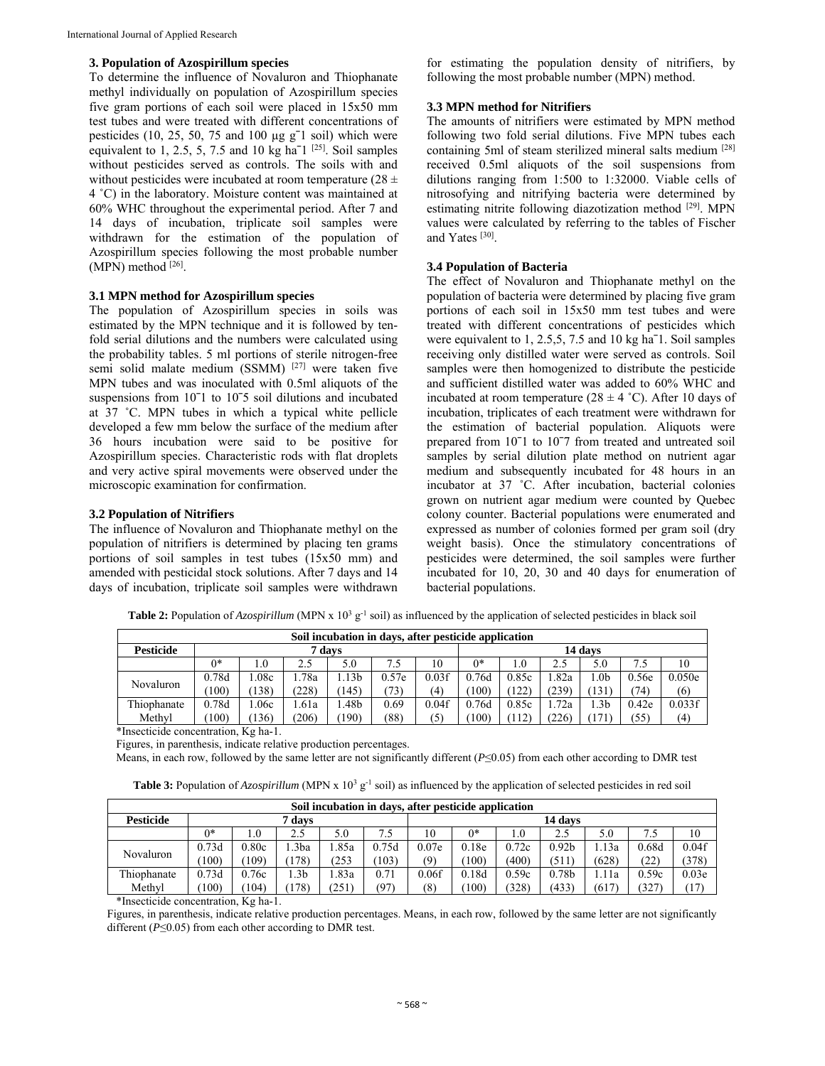#### **3. Population of Azospirillum species**

To determine the influence of Novaluron and Thiophanate methyl individually on population of Azospirillum species five gram portions of each soil were placed in 15x50 mm test tubes and were treated with different concentrations of pesticides (10, 25, 50, 75 and 100 µg gˉ1 soil) which were equivalent to 1, 2.5, 5, 7.5 and 10 kg ha<sup> $-1$  [25]</sup>. Soil samples without pesticides served as controls. The soils with and without pesticides were incubated at room temperature  $(28 \pm$ 4 ˚C) in the laboratory. Moisture content was maintained at 60% WHC throughout the experimental period. After 7 and 14 days of incubation, triplicate soil samples were withdrawn for the estimation of the population of Azospirillum species following the most probable number  $(MPN)$  method  $[26]$ .

## **3.1 MPN method for Azospirillum species**

The population of Azospirillum species in soils was estimated by the MPN technique and it is followed by tenfold serial dilutions and the numbers were calculated using the probability tables. 5 ml portions of sterile nitrogen-free semi solid malate medium (SSMM) [27] were taken five MPN tubes and was inoculated with 0.5ml aliquots of the suspensions from 10<sup>-1</sup> to 10<sup>-5</sup> soil dilutions and incubated at 37 ˚C. MPN tubes in which a typical white pellicle developed a few mm below the surface of the medium after 36 hours incubation were said to be positive for Azospirillum species. Characteristic rods with flat droplets and very active spiral movements were observed under the microscopic examination for confirmation.

#### **3.2 Population of Nitrifiers**

The influence of Novaluron and Thiophanate methyl on the population of nitrifiers is determined by placing ten grams portions of soil samples in test tubes (15x50 mm) and amended with pesticidal stock solutions. After 7 days and 14 days of incubation, triplicate soil samples were withdrawn

for estimating the population density of nitrifiers, by following the most probable number (MPN) method.

#### **3.3 MPN method for Nitrifiers**

The amounts of nitrifiers were estimated by MPN method following two fold serial dilutions. Five MPN tubes each containing 5ml of steam sterilized mineral salts medium [28] received 0.5ml aliquots of the soil suspensions from dilutions ranging from 1:500 to 1:32000. Viable cells of nitrosofying and nitrifying bacteria were determined by estimating nitrite following diazotization method [29]. MPN values were calculated by referring to the tables of Fischer and Yates [30].

#### **3.4 Population of Bacteria**

The effect of Novaluron and Thiophanate methyl on the population of bacteria were determined by placing five gram portions of each soil in 15x50 mm test tubes and were treated with different concentrations of pesticides which were equivalent to 1, 2.5,5, 7.5 and 10 kg haˉ1. Soil samples receiving only distilled water were served as controls. Soil samples were then homogenized to distribute the pesticide and sufficient distilled water was added to 60% WHC and incubated at room temperature ( $28 \pm 4$  °C). After 10 days of incubation, triplicates of each treatment were withdrawn for the estimation of bacterial population. Aliquots were prepared from 10ˉ1 to 10ˉ7 from treated and untreated soil samples by serial dilution plate method on nutrient agar medium and subsequently incubated for 48 hours in an incubator at 37 ˚C. After incubation, bacterial colonies grown on nutrient agar medium were counted by Quebec colony counter. Bacterial populations were enumerated and expressed as number of colonies formed per gram soil (dry weight basis). Once the stimulatory concentrations of pesticides were determined, the soil samples were further incubated for 10, 20, 30 and 40 days for enumeration of bacterial populations.

| Soil incubation in days, after pesticide application |        |         |       |                  |       |       |         |       |       |                 |       |        |  |
|------------------------------------------------------|--------|---------|-------|------------------|-------|-------|---------|-------|-------|-----------------|-------|--------|--|
| <b>Pesticide</b>                                     | 7 davs |         |       |                  |       |       | 14 days |       |       |                 |       |        |  |
|                                                      | $0*$   | $1.0\,$ |       | 5.0              | 1.5   | 10    | $0*$    | 0     |       | 5.0             | 7.5   | 10     |  |
| Novaluron                                            | 0.78d  | .08c    | .78a  | .13 <sub>b</sub> | 0.57e | 0.03f | 0.76d   | 0.85c | l.82a | .0 <sub>b</sub> | 0.56e | 0.050e |  |
|                                                      | 100)   | (138)   | (228) | 145)             | 73)   | (4)   | (100)   | 122)  | (239) | (131)           | 74)   | (6)    |  |
| Thiophanate                                          | 0.78d  | .06c    | .61a  | .48b             | 0.69  | 0.04f | 0.76d   | 0.85c | .72a  | .3 <sub>b</sub> | 0.42e | 0.033f |  |
| Methyl                                               | 100)   | (136)   | (206) | 190)             | (88)  | (5)   | (100)   | 112)  | (226) |                 | (55)  | (4)    |  |

**Table 2:** Population of *Azospirillum* (MPN x  $10<sup>3</sup>$  g<sup>-1</sup> soil) as influenced by the application of selected pesticides in black soil

\*Insecticide concentration, Kg ha-1.

Figures, in parenthesis, indicate relative production percentages.

Means, in each row, followed by the same letter are not significantly different (*P*≤0.05) from each other according to DMR test

|  |  |  |  |  |  |  | <b>Table 3:</b> Population of Azospirillum (MPN x $10^3$ g <sup>-1</sup> soil) as influenced by the application of selected pesticides in red soil |
|--|--|--|--|--|--|--|----------------------------------------------------------------------------------------------------------------------------------------------------|
|--|--|--|--|--|--|--|----------------------------------------------------------------------------------------------------------------------------------------------------|

| Soil incubation in days, after pesticide application |        |       |                 |       |       |         |       |       |                   |       |       |                   |
|------------------------------------------------------|--------|-------|-----------------|-------|-------|---------|-------|-------|-------------------|-------|-------|-------------------|
| <b>Pesticide</b>                                     | 7 davs |       |                 |       |       | 14 days |       |       |                   |       |       |                   |
|                                                      | $^{*}$ | 0.1   | 2.5             | 5.0   | 7.5   | 10      | 0*    | 1.0   |                   | 5.0   | 7.5   | 10                |
| Novaluron                                            | 0.73d  | 0.80c | .3ba            | .85a  | 0.75d | 0.07e   | 0.18e | 0.72c | 0.92 <sub>b</sub> | l.13a | 0.68d | 0.04f             |
|                                                      | 100)   | (109) | 178)            | 253   | (103) | (9)     | (100) | (400) | (511)             | (628) | (22)  | (378)             |
| Thiophanate                                          | 0.73d  | 0.76c | .3 <sub>b</sub> | .83a  | 0.71  | 0.06f   | 0.18d | 0.59c | 0.78 <sub>b</sub> | '1a   | 0.59c | 0.03 <sub>e</sub> |
| Methyl                                               | 100)   | (104) | 178)            | (251) | (97)  | (8)     | (100) | (328) | (433)             | (617) | 327   | (17)              |

\*Insecticide concentration, Kg ha-1.

Figures, in parenthesis, indicate relative production percentages. Means, in each row, followed by the same letter are not significantly different (*P*≤0.05) from each other according to DMR test.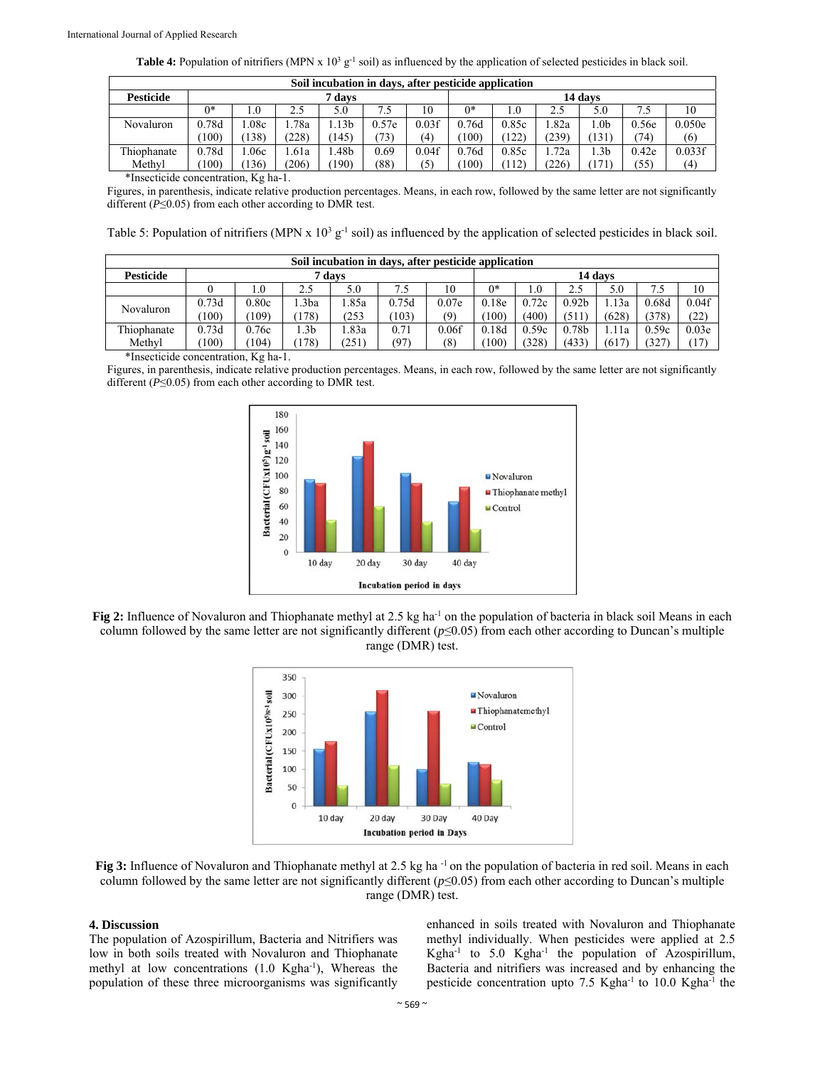| <b>Table 4:</b> Population of nitrifiers (MPN x $10^3$ g <sup>-1</sup> soil) as influenced by the application of selected pesticides in black soil. |  |  |  |  |
|-----------------------------------------------------------------------------------------------------------------------------------------------------|--|--|--|--|
|-----------------------------------------------------------------------------------------------------------------------------------------------------|--|--|--|--|

| Soil incubation in days, after pesticide application |        |      |       |      |       |                   |         |       |       |      |       |        |
|------------------------------------------------------|--------|------|-------|------|-------|-------------------|---------|-------|-------|------|-------|--------|
| <b>Pesticide</b>                                     | 7 days |      |       |      |       |                   | 14 days |       |       |      |       |        |
|                                                      | $0*$   | 0.1  | 2.5   | 5.0  | 7.5   | 10                | $0*$    | 0.1   | 2.5   | 5.0  | 7.5   | 10     |
| Novaluron                                            | 0.78d  | .08c | .78a  | .13b | 0.57e | 0.03f             | 0.76d   | 0.85c | l.82a | l.0b | 0.56e | 0.050e |
|                                                      | 100)   | 138) | (228) | 145  | (73)  | $\left( 4\right)$ | 100)    | (122) | (239) | 131  | (74)  | (6)    |
| Thiophanate                                          | 0.78d  | 06c  | .61a  | .48b | 0.69  | 0.04f             | 0.76d   | 0.85c | l.72a | l.3b | 0.42e | 0.033f |
| Methyl                                               | 100)   | 136) | (206) | 190) | (88)  | $\mathcal{F}$     | 100)    | 112)  | (226) | 171  | (55)  | (4)    |

\*Insecticide concentration, Kg ha-1.

Figures, in parenthesis, indicate relative production percentages. Means, in each row, followed by the same letter are not significantly different (*P*≤0.05) from each other according to DMR test.

Table 5: Population of nitrifiers (MPN x  $10^3$  g<sup>-1</sup> soil) as influenced by the application of selected pesticides in black soil.

| Soil incubation in days, after pesticide application |        |       |       |       |       |       |         |       |                   |       |       |                   |
|------------------------------------------------------|--------|-------|-------|-------|-------|-------|---------|-------|-------------------|-------|-------|-------------------|
| <b>Pesticide</b>                                     | 7 days |       |       |       |       |       | 14 days |       |                   |       |       |                   |
|                                                      |        | 1.0   | 2.5   | 5.0   | 7.5   | 10    | 0*      | 1.0   | 2.5               | 5.0   | 7.5   | 10                |
| Novaluron                                            | 0.73d  | 0.80c | .3ba  | l.85a | 0.75d | 0.07e | 0.18e   | 0.72c | 0.92 <sub>b</sub> | l.13a | 0.68d | 0.04f             |
|                                                      | 100)   | (109) | 178)  | 253   | (103) | (9)   | 100)    | (400) | (511)             | (628) | (378) | (22)              |
| Thiophanate                                          | 0.73d  | 0.76c | .3b   | l.83a | 0.71  | 0.06f | 0.18d   | 0.59c | 0.78 <sub>b</sub> | 1.11a | 0.59c | 0.03 <sub>e</sub> |
| Methyl                                               | 100)   | (104) | (178) | (251  | (97)  | (8)   | 100)    | (328) | (433)             | (617) | (327) | 17                |

\*Insecticide concentration, Kg ha-1.

Figures, in parenthesis, indicate relative production percentages. Means, in each row, followed by the same letter are not significantly different (*P*≤0.05) from each other according to DMR test.



**Fig 2:** Influence of Novaluron and Thiophanate methyl at 2.5 kg ha<sup>-1</sup> on the population of bacteria in black soil Means in each column followed by the same letter are not significantly different ( $p \le 0.05$ ) from each other according to Duncan's multiple range (DMR) test.



**Fig 3:** Influence of Novaluron and Thiophanate methyl at 2.5 kg ha<sup>-1</sup> on the population of bacteria in red soil. Means in each column followed by the same letter are not significantly different ( $p \le 0.05$ ) from each other according to Duncan's multiple range (DMR) test.

#### **4. Discussion**

The population of Azospirillum, Bacteria and Nitrifiers was low in both soils treated with Novaluron and Thiophanate methyl at low concentrations  $(1.0 \text{ Kgha}^{-1})$ , Whereas the population of these three microorganisms was significantly

enhanced in soils treated with Novaluron and Thiophanate methyl individually. When pesticides were applied at 2.5 Kgha-1 to 5.0 Kgha-1 the population of Azospirillum, Bacteria and nitrifiers was increased and by enhancing the pesticide concentration upto 7.5 Kgha<sup>-1</sup> to 10.0 Kgha<sup>-1</sup> the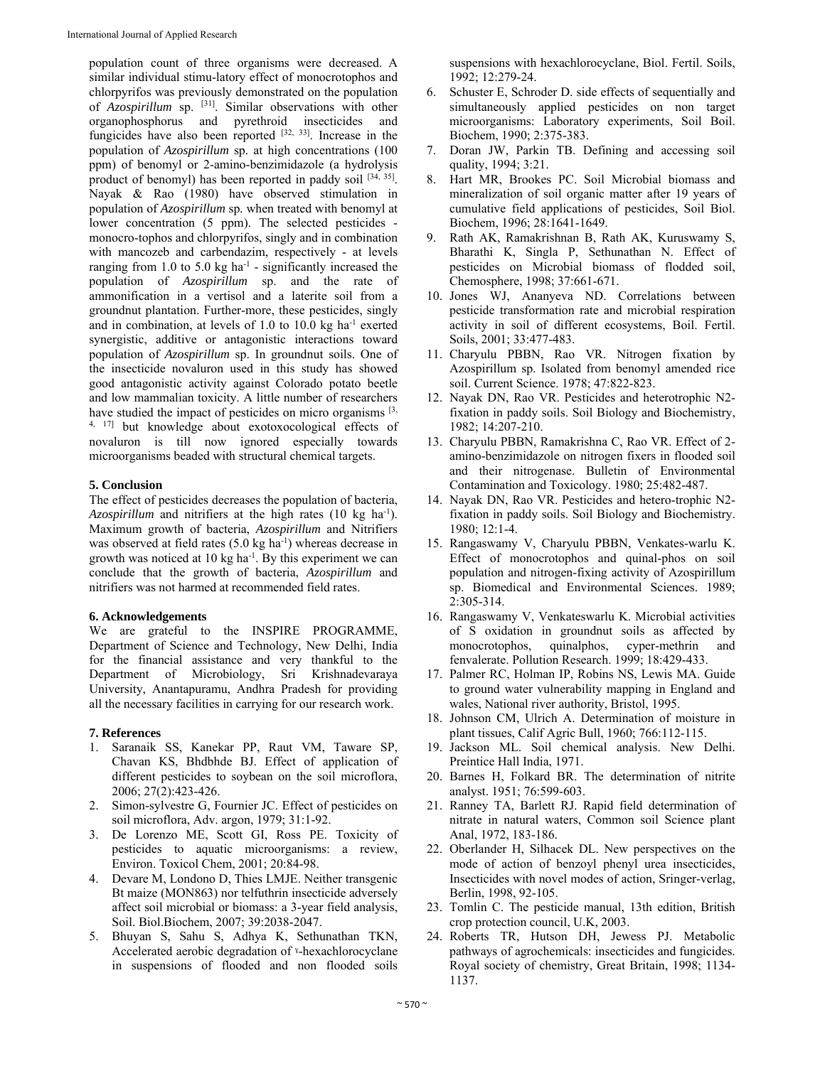population count of three organisms were decreased. A similar individual stimu-latory effect of monocrotophos and chlorpyrifos was previously demonstrated on the population of *Azospirillum* sp. [31]. Similar observations with other organophosphorus and pyrethroid insecticides and fungicides have also been reported  $[32, 33]$ . Increase in the population of *Azospirillum* sp. at high concentrations (100 ppm) of benomyl or 2-amino-benzimidazole (a hydrolysis product of benomyl) has been reported in paddy soil  $[34, 35]$ . Nayak & Rao (1980) have observed stimulation in population of *Azospirillum* sp*.* when treated with benomyl at lower concentration (5 ppm). The selected pesticides monocro-tophos and chlorpyrifos, singly and in combination with mancozeb and carbendazim, respectively - at levels ranging from 1.0 to 5.0 kg  $ha^{-1}$  - significantly increased the population of *Azospirillum* sp. and the rate of ammonification in a vertisol and a laterite soil from a groundnut plantation. Further-more, these pesticides, singly and in combination, at levels of 1.0 to 10.0 kg ha<sup>-1</sup> exerted synergistic, additive or antagonistic interactions toward population of *Azospirillum* sp. In groundnut soils. One of the insecticide novaluron used in this study has showed good antagonistic activity against Colorado potato beetle and low mammalian toxicity. A little number of researchers have studied the impact of pesticides on micro organisms  $[3,$ 4, 17] but knowledge about exotoxocological effects of novaluron is till now ignored especially towards microorganisms beaded with structural chemical targets.

# **5. Conclusion**

The effect of pesticides decreases the population of bacteria, *Azospirillum* and nitrifiers at the high rates (10 kg ha<sup>-1</sup>). Maximum growth of bacteria, *Azospirillum* and Nitrifiers was observed at field rates  $(5.0 \text{ kg ha}^{-1})$  whereas decrease in growth was noticed at  $10 \text{ kg}$  ha<sup>-1</sup>. By this experiment we can conclude that the growth of bacteria, *Azospirillum* and nitrifiers was not harmed at recommended field rates.

## **6. Acknowledgements**

We are grateful to the INSPIRE PROGRAMME, Department of Science and Technology, New Delhi, India for the financial assistance and very thankful to the Department of Microbiology, Sri Krishnadevaraya University, Anantapuramu, Andhra Pradesh for providing all the necessary facilities in carrying for our research work.

## **7. References**

- 1. Saranaik SS, Kanekar PP, Raut VM, Taware SP, Chavan KS, Bhdbhde BJ. Effect of application of different pesticides to soybean on the soil microflora, 2006; 27(2):423-426.
- 2. Simon-sylvestre G, Fournier JC. Effect of pesticides on soil microflora, Adv. argon, 1979; 31:1-92.
- 3. De Lorenzo ME, Scott GI, Ross PE. Toxicity of pesticides to aquatic microorganisms: a review, Environ. Toxicol Chem, 2001; 20:84-98.
- 4. Devare M, Londono D, Thies LMJE. Neither transgenic Bt maize (MON863) nor telfuthrin insecticide adversely affect soil microbial or biomass: a 3-year field analysis, Soil. Biol.Biochem, 2007; 39:2038-2047.
- 5. Bhuyan S, Sahu S, Adhya K, Sethunathan TKN, Accelerated aerobic degradation of <sup>y</sup>-hexachlorocyclane in suspensions of flooded and non flooded soils

suspensions with hexachlorocyclane, Biol. Fertil. Soils, 1992; 12:279-24.

- 6. Schuster E, Schroder D. side effects of sequentially and simultaneously applied pesticides on non target microorganisms: Laboratory experiments, Soil Boil. Biochem, 1990; 2:375-383.
- 7. Doran JW, Parkin TB. Defining and accessing soil quality, 1994; 3:21.
- 8. Hart MR, Brookes PC. Soil Microbial biomass and mineralization of soil organic matter after 19 years of cumulative field applications of pesticides, Soil Biol. Biochem, 1996; 28:1641-1649.
- 9. Rath AK, Ramakrishnan B, Rath AK, Kuruswamy S, Bharathi K, Singla P, Sethunathan N. Effect of pesticides on Microbial biomass of flodded soil, Chemosphere, 1998; 37:661-671.
- 10. Jones WJ, Ananyeva ND. Correlations between pesticide transformation rate and microbial respiration activity in soil of different ecosystems, Boil. Fertil. Soils, 2001; 33:477-483.
- 11. Charyulu PBBN, Rao VR. Nitrogen fixation by Azospirillum sp. Isolated from benomyl amended rice soil. Current Science. 1978; 47:822-823.
- 12. Nayak DN, Rao VR. Pesticides and heterotrophic N2 fixation in paddy soils. Soil Biology and Biochemistry, 1982; 14:207-210.
- 13. Charyulu PBBN, Ramakrishna C, Rao VR. Effect of 2 amino-benzimidazole on nitrogen fixers in flooded soil and their nitrogenase. Bulletin of Environmental Contamination and Toxicology. 1980; 25:482-487.
- 14. Nayak DN, Rao VR. Pesticides and hetero-trophic N2 fixation in paddy soils. Soil Biology and Biochemistry. 1980; 12:1-4.
- 15. Rangaswamy V, Charyulu PBBN, Venkates-warlu K. Effect of monocrotophos and quinal-phos on soil population and nitrogen-fixing activity of Azospirillum sp. Biomedical and Environmental Sciences. 1989; 2:305-314.
- 16. Rangaswamy V, Venkateswarlu K. Microbial activities of S oxidation in groundnut soils as affected by monocrotophos, quinalphos, cyper-methrin and fenvalerate. Pollution Research. 1999; 18:429-433.
- 17. Palmer RC, Holman IP, Robins NS, Lewis MA. Guide to ground water vulnerability mapping in England and wales, National river authority, Bristol, 1995.
- 18. Johnson CM, Ulrich A. Determination of moisture in plant tissues, Calif Agric Bull, 1960; 766:112-115.
- 19. Jackson ML. Soil chemical analysis. New Delhi. Preintice Hall India, 1971.
- 20. Barnes H, Folkard BR. The determination of nitrite analyst. 1951; 76:599-603.
- 21. Ranney TA, Barlett RJ. Rapid field determination of nitrate in natural waters, Common soil Science plant Anal, 1972, 183-186.
- 22. Oberlander H, Silhacek DL. New perspectives on the mode of action of benzoyl phenyl urea insecticides, Insecticides with novel modes of action, Sringer-verlag, Berlin, 1998, 92-105.
- 23. Tomlin C. The pesticide manual, 13th edition, British crop protection council, U.K, 2003.
- 24. Roberts TR, Hutson DH, Jewess PJ. Metabolic pathways of agrochemicals: insecticides and fungicides. Royal society of chemistry, Great Britain, 1998; 1134- 1137.